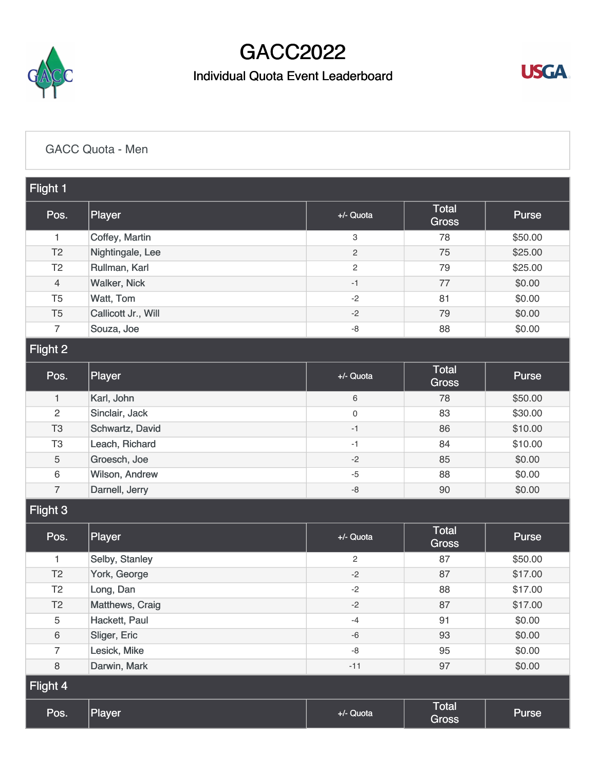

## GACC2022

## Individual Quota Event Leaderboard



[GACC Quota - Men](https://static.golfgenius.com/v2tournaments/8491313763234918784?called_from=&round_index=4)

| Flight 1        |                     |                           |                              |              |  |  |
|-----------------|---------------------|---------------------------|------------------------------|--------------|--|--|
| Pos.            | Player              | +/- Quota                 | <b>Total</b><br><b>Gross</b> | <b>Purse</b> |  |  |
| 1               | Coffey, Martin      | $\ensuremath{\mathsf{3}}$ | 78                           | \$50.00      |  |  |
| T <sub>2</sub>  | Nightingale, Lee    | $\overline{c}$            | 75                           | \$25.00      |  |  |
| T <sub>2</sub>  | Rullman, Karl       | $\overline{c}$            | 79                           | \$25.00      |  |  |
| $\overline{4}$  | <b>Walker, Nick</b> | $-1$                      | 77                           | \$0.00       |  |  |
| T <sub>5</sub>  | Watt, Tom           | $-2$                      | 81                           | \$0.00       |  |  |
| T <sub>5</sub>  | Callicott Jr., Will | $-2$                      | 79                           | \$0.00       |  |  |
| $\overline{7}$  | Souza, Joe          | $-8$                      | 88                           | \$0.00       |  |  |
| <b>Flight 2</b> |                     |                           |                              |              |  |  |
| Pos.            | Player              | +/- Quota                 | <b>Total</b><br><b>Gross</b> | Purse        |  |  |
| $\mathbf{1}$    | Karl, John          | $\,6\,$                   | 78                           | \$50.00      |  |  |
| $\overline{2}$  | Sinclair, Jack      | $\mathsf{O}\xspace$       | 83                           | \$30.00      |  |  |
| T <sub>3</sub>  | Schwartz, David     | $-1$                      | 86                           | \$10.00      |  |  |
| T <sub>3</sub>  | Leach, Richard      | $-1$                      | 84                           | \$10.00      |  |  |
| $\sqrt{5}$      | Groesch, Joe        | $-2$                      | 85                           | \$0.00       |  |  |
| $\,6\,$         | Wilson, Andrew      | $-5$                      | 88                           | \$0.00       |  |  |
| $\overline{7}$  | Darnell, Jerry      | $-8$                      | 90                           | \$0.00       |  |  |
| Flight 3        |                     |                           |                              |              |  |  |
| Pos.            | Player              | +/- Quota                 | <b>Total</b><br><b>Gross</b> | <b>Purse</b> |  |  |
| 1               | Selby, Stanley      | $\mathbf{2}$              | 87                           | \$50.00      |  |  |
| T <sub>2</sub>  | York, George        | $-2$                      | 87                           | \$17.00      |  |  |
| T <sub>2</sub>  | Long, Dan           | $-2$                      | 88                           | \$17.00      |  |  |
| T <sub>2</sub>  | Matthews, Craig     | $-2$                      | 87                           | \$17.00      |  |  |
| $\mathbf 5$     | Hackett, Paul       | $-4$                      | 91                           | \$0.00       |  |  |
| 6               | Sliger, Eric        | $-6$                      | 93                           | \$0.00       |  |  |
| $\overline{7}$  | Lesick, Mike        | -8                        | 95                           | \$0.00       |  |  |
| $\,8\,$         | Darwin, Mark        | $-11$                     | 97                           | \$0.00       |  |  |
| Flight 4        |                     |                           |                              |              |  |  |
| Pos.            | Player              | +/- Quota                 | <b>Total</b><br><b>Gross</b> | Purse        |  |  |